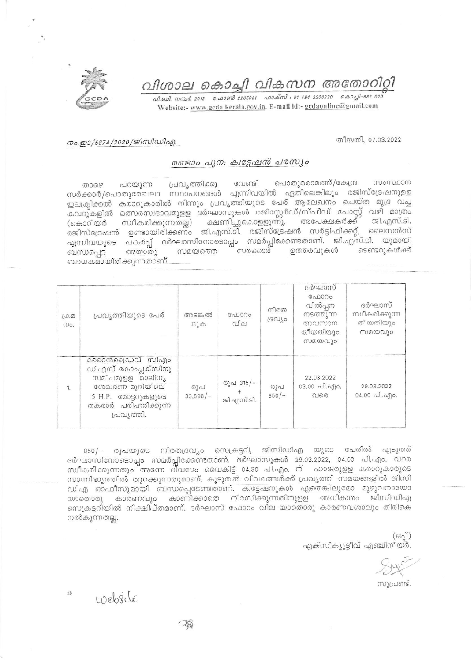വിശാല കൊച്ചി വികസന അതോറിറ്റി



പി.ബി. നമ്പർ 2012 - ഫോൺ 2205061 - ഫാക്സ് : 91 484 2206230 - കൊച്ചി-682 020 Website:- www.gcda.kerala.gov.in. E-mail id:- gcdaonline@gmail.com

## നം.ഇ3/5874/2020/ജിസിഡിഎ.

തീയതി, 07.03.2022

## രണ്ടാം പുന: ക്വട്ടേഷൻ പരസ്യം

പൊതുമരാമത്ത്/കേന്ദ്ര സംസ്ഥാന വേണ്ടി പ്രവൃത്തിക്കു ைഴെ പറയുന്ന സർക്കാർ/പൊതുമേഖലാ സ്ഥാപനങ്ങൾ എന്നിവയിൽ ഏതിലെങ്കിലും രജിസ്ട്രേഷനുള്ള ഇലക്ട്രിക്കൽ കരാറുകാരിൽ നിന്നും പ്രവൃത്തിയുടെ പേര് ആലേഖനം ചെയ്ത മുദ്ര വച്ച കവറുകളിൽ മത്സരസ്വഭാവമുളള ദർഘാസുകൾ രജിസ്റ്റേർഡ്/സ്പീഡ് പോസ്റ്റ് വഴി മാത്രം<br>(കൊറിയർ സ്വീകരിക്കുന്നതല്ല) ക്ഷണിച്ചുകൊളളുന്നു. അപേക്ഷകർക്ക് ജി.എസ്.ടി.<br>രജിസ്ട്രേഷൻ ഉണ്ടായിരിക്കണം ജി.എസ്.ടി. രജിസ്ട്രേഷൻ സർട്ടിഫിക്കറ്റ്, ലൈസൻ എന്നിവയുടെ പകർപ്പ് ദർഘാസിനോടൊപ്പം സമർപ്പിക്കേണ്ടതാണ്. ജി.എസ്.ടി. യുമായി സമയത്തെ സർക്കാർ ഉത്തരവുകൾ ടെണ്ടറുകൾക്ക് അതാതു ബന്ധപ്പെട്ട ബാധകമായിരിക്കുന്നതാണ്.

| கும<br>mo. | പ്രവൃത്തിയുടെ പേര്                                                                                                                       | അടങ്കൽ<br>തുക     | ഫോറം<br>വില             | നിരത<br>ദ്രവിശ | ദർഘാസ്<br>ഫോറം<br>വിൽപ്പന<br>നടത്തുന്ന<br>അവസാന<br>തീയതിയും<br>സമയവും | ദർഘാസ്<br>സ്വീകരിക്കുന്ന<br>തീയതിയും<br>സമയവും             |
|------------|------------------------------------------------------------------------------------------------------------------------------------------|-------------------|-------------------------|----------------|-----------------------------------------------------------------------|------------------------------------------------------------|
| 1.         | മറൈൻഡ്രൈവ് സിഎം<br>ഡിഎസ് കോംപ്ലക്സിനു<br>സമീപമുളള മാലിന്യ<br>ശേഖരണ മുറിയിലെ<br>5 H.P. മോട്ടറുകളുടെ<br>തകരാർ പരിഹരിക്കുന്ന<br>പ്രവ്യത്തി. | രൂപ<br>$33,898/-$ | രൂപ 315/–<br>ജി.എസ്.ടി. | രൂപ<br>$850/-$ | 22.03.2022<br>03.00 പി.എം.<br>വരെ                                     | 29.03.2022<br>04.00 $\alpha$ $\beta$ . $\alpha$ $\beta$ o. |

850/– രൂപയുടെ നിരതദ്രവ്യം സെക്രട്ടറി, ജിസിഡിഎ യുടെ പേരിൽ എടുത്ത് ദർഘാസിനോടൊപ്പം സമർപ്പിക്കേണ്ടതാണ്. ദർഘാസുകൾ 29.03.2022, 04.00 പി.എം. വരെ സ്വീകരിക്കുന്നതും അന്നേ ദിവസം വൈകിട്ട് 04.30 പി.എം. ന് ഹാജരുളള കരാറുകാരുടെ സാന്നിദ്ധ്യത്തിൽ തുറക്കുന്നതുമാണ്. കൂടുതൽ വിവരങ്ങൾക്ക് പ്രവൃത്തി സമയങ്ങളിൽ ജിസി ഡിഎ ഓഫീസുമായി ബന്ധപ്പെടേണ്ടതാണ്. ക്വട്ടേഷനുകൾ ഏതെങ്കിലുമോ മുഴുവനായോ യാതൊരു കാരണവും കാണിക്കാതെ നിരസിക്കുന്നതിനുളള അധികാരം ജിസിഡിഎ സെക്രട്ടറിയിൽ നിക്ഷിപ്തമാണ്. ദർഘാസ് ഫോറം വില യാതൊരു കാരണവശാലും തിരികെ നൽകുന്നതല്ല.

> (ഒപ്പ്) എക്സിക്യൂട്ടീവ് എഞ്ചിനീയർ.

സൂപ്രണ്ട്.

website

 $ab$ 

-16